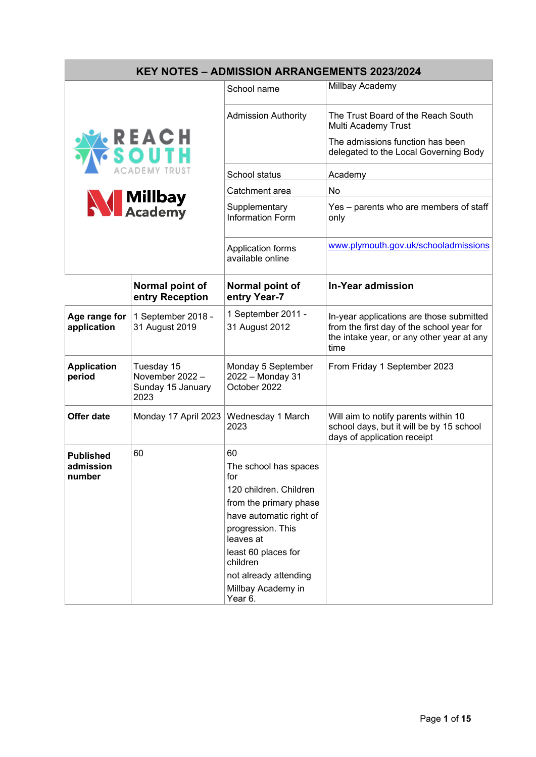| <b>KEY NOTES - ADMISSION ARRANGEMENTS 2023/2024</b> |                                                            |                                                                                                                                                                                                                                                  |                                                                                                                                            |  |  |
|-----------------------------------------------------|------------------------------------------------------------|--------------------------------------------------------------------------------------------------------------------------------------------------------------------------------------------------------------------------------------------------|--------------------------------------------------------------------------------------------------------------------------------------------|--|--|
|                                                     |                                                            | School name                                                                                                                                                                                                                                      | Millbay Academy                                                                                                                            |  |  |
| <b>REACH</b><br>SOUTH<br><b>N</b> Millbay           |                                                            | <b>Admission Authority</b>                                                                                                                                                                                                                       | The Trust Board of the Reach South<br>Multi Academy Trust                                                                                  |  |  |
|                                                     |                                                            |                                                                                                                                                                                                                                                  | The admissions function has been<br>delegated to the Local Governing Body                                                                  |  |  |
|                                                     |                                                            | School status                                                                                                                                                                                                                                    | Academy                                                                                                                                    |  |  |
|                                                     |                                                            | Catchment area                                                                                                                                                                                                                                   | No                                                                                                                                         |  |  |
|                                                     |                                                            | Supplementary<br><b>Information Form</b>                                                                                                                                                                                                         | Yes – parents who are members of staff<br>only                                                                                             |  |  |
|                                                     |                                                            | Application forms<br>available online                                                                                                                                                                                                            | www.plymouth.gov.uk/schooladmissions                                                                                                       |  |  |
|                                                     | Normal point of<br>entry Reception                         | Normal point of<br>entry Year-7                                                                                                                                                                                                                  | <b>In-Year admission</b>                                                                                                                   |  |  |
| Age range for<br>application                        | 1 September 2018 -<br>31 August 2019                       | 1 September 2011 -<br>31 August 2012                                                                                                                                                                                                             | In-year applications are those submitted<br>from the first day of the school year for<br>the intake year, or any other year at any<br>time |  |  |
| <b>Application</b><br>period                        | Tuesday 15<br>November 2022 -<br>Sunday 15 January<br>2023 | Monday 5 September<br>2022 - Monday 31<br>October 2022                                                                                                                                                                                           | From Friday 1 September 2023                                                                                                               |  |  |
| <b>Offer date</b>                                   | Monday 17 April 2023                                       | Wednesday 1 March<br>2023                                                                                                                                                                                                                        | Will aim to notify parents within 10<br>school days, but it will be by 15 school<br>days of application receipt                            |  |  |
| <b>Published</b><br>admission<br>number             | 60                                                         | 60<br>The school has spaces<br>for<br>120 children. Children<br>from the primary phase<br>have automatic right of<br>progression. This<br>leaves at<br>least 60 places for<br>children<br>not already attending<br>Millbay Academy in<br>Year 6. |                                                                                                                                            |  |  |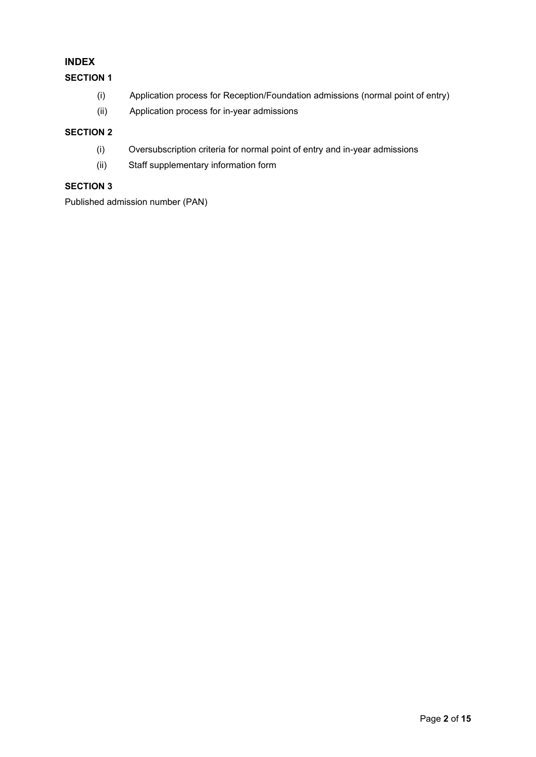### **INDEX**

### **SECTION 1**

- (i) Application process for Reception/Foundation admissions (normal point of entry)
- (ii) Application process for in-year admissions

### **SECTION 2**

- (i) Oversubscription criteria for normal point of entry and in-year admissions
- (ii) Staff supplementary information form

### **SECTION 3**

Published admission number (PAN)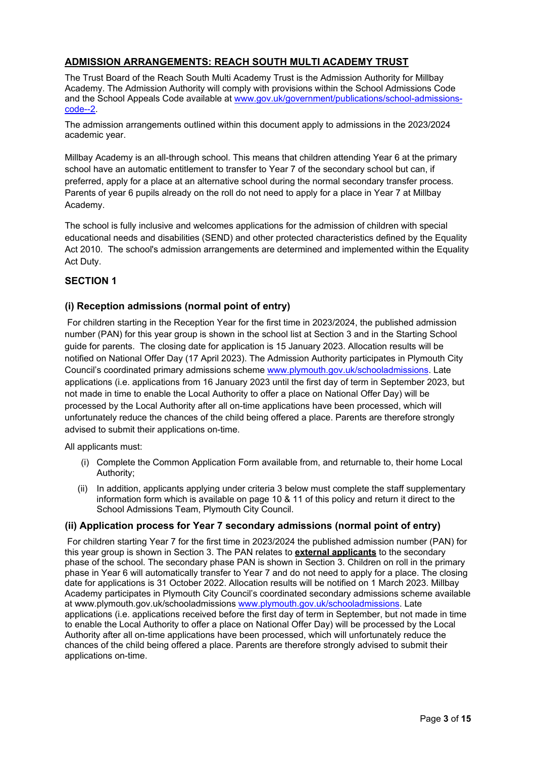### **ADMISSION ARRANGEMENTS: REACH SOUTH MULTI ACADEMY TRUST**

The Trust Board of the Reach South Multi Academy Trust is the Admission Authority for Millbay Academy. The Admission Authority will comply with provisions within the School Admissions Code and the School Appeals Code available at [www.gov.uk/government/publications/school-admissions](about:blank)[code--2.](about:blank)

The admission arrangements outlined within this document apply to admissions in the 2023/2024 academic year.

Millbay Academy is an all-through school. This means that children attending Year 6 at the primary school have an automatic entitlement to transfer to Year 7 of the secondary school but can, if preferred, apply for a place at an alternative school during the normal secondary transfer process. Parents of year 6 pupils already on the roll do not need to apply for a place in Year 7 at Millbay Academy.

The school is fully inclusive and welcomes applications for the admission of children with special educational needs and disabilities (SEND) and other protected characteristics defined by the Equality Act 2010. The school's admission arrangements are determined and implemented within the Equality Act Duty.

### **SECTION 1**

### **(i) Reception admissions (normal point of entry)**

For children starting in the Reception Year for the first time in 2023/2024, the published admission number (PAN) for this year group is shown in the school list at Section 3 and in the Starting School guide for parents. The closing date for application is 15 January 2023. Allocation results will be notified on National Offer Day (17 April 2023). The Admission Authority participates in Plymouth City Council's coordinated primary admissions scheme [www.plymouth.gov.uk/schooladmissions.](http://www.plymouth.gov.uk/schooladmissions) Late applications (i.e. applications from 16 January 2023 until the first day of term in September 2023, but not made in time to enable the Local Authority to offer a place on National Offer Day) will be processed by the Local Authority after all on-time applications have been processed, which will unfortunately reduce the chances of the child being offered a place. Parents are therefore strongly advised to submit their applications on-time.

All applicants must:

- (i) Complete the Common Application Form available from, and returnable to, their home Local Authority;
- (ii) In addition, applicants applying under criteria 3 below must complete the staff supplementary information form which is available on page 10 & 11 of this policy and return it direct to the School Admissions Team, Plymouth City Council.

### **(ii) Application process for Year 7 secondary admissions (normal point of entry)**

For children starting Year 7 for the first time in 2023/2024 the published admission number (PAN) for this year group is shown in Section 3. The PAN relates to **external applicants** to the secondary phase of the school. The secondary phase PAN is shown in Section 3. Children on roll in the primary phase in Year 6 will automatically transfer to Year 7 and do not need to apply for a place. The closing date for applications is 31 October 2022. Allocation results will be notified on 1 March 2023. Millbay Academy participates in Plymouth City Council's coordinated secondary admissions scheme available at www.plymouth.gov.uk/schooladmissions www.plymouth.gov.uk/schooladmissions. Late applications (i.e. applications received before the first day of term in September, but not made in time to enable the Local Authority to offer a place on National Offer Day) will be processed by the Local Authority after all on-time applications have been processed, which will unfortunately reduce the chances of the child being offered a place. Parents are therefore strongly advised to submit their applications on-time.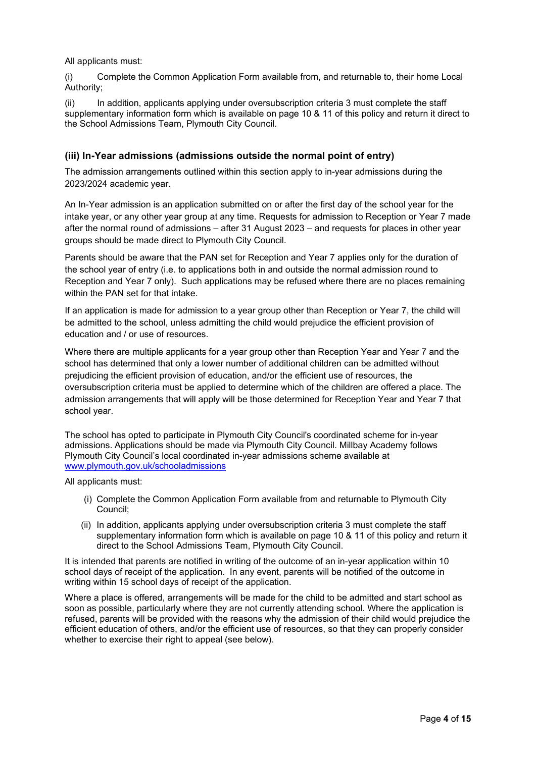#### All applicants must:

(i) Complete the Common Application Form available from, and returnable to, their home Local Authority;

(ii) In addition, applicants applying under oversubscription criteria 3 must complete the staff supplementary information form which is available on page 10 & 11 of this policy and return it direct to the School Admissions Team, Plymouth City Council.

### **(iii) In-Year admissions (admissions outside the normal point of entry)**

The admission arrangements outlined within this section apply to in-year admissions during the 2023/2024 academic year.

An In-Year admission is an application submitted on or after the first day of the school year for the intake year, or any other year group at any time. Requests for admission to Reception or Year 7 made after the normal round of admissions – after 31 August 2023 – and requests for places in other year groups should be made direct to Plymouth City Council.

Parents should be aware that the PAN set for Reception and Year 7 applies only for the duration of the school year of entry (i.e. to applications both in and outside the normal admission round to Reception and Year 7 only). Such applications may be refused where there are no places remaining within the PAN set for that intake.

If an application is made for admission to a year group other than Reception or Year 7, the child will be admitted to the school, unless admitting the child would prejudice the efficient provision of education and / or use of resources.

Where there are multiple applicants for a year group other than Reception Year and Year 7 and the school has determined that only a lower number of additional children can be admitted without prejudicing the efficient provision of education, and/or the efficient use of resources, the oversubscription criteria must be applied to determine which of the children are offered a place. The admission arrangements that will apply will be those determined for Reception Year and Year 7 that school year.

The school has opted to participate in Plymouth City Council's coordinated scheme for in-year admissions. Applications should be made via Plymouth City Council. Millbay Academy follows Plymouth City Council's local coordinated in-year admissions scheme available at [www.plymouth.gov.uk/schooladmissions](about:blank)

All applicants must:

- (i) Complete the Common Application Form available from and returnable to Plymouth City Council;
- (ii) In addition, applicants applying under oversubscription criteria 3 must complete the staff supplementary information form which is available on page 10 & 11 of this policy and return it direct to the School Admissions Team, Plymouth City Council.

It is intended that parents are notified in writing of the outcome of an in-year application within 10 school days of receipt of the application. In any event, parents will be notified of the outcome in writing within 15 school days of receipt of the application.

Where a place is offered, arrangements will be made for the child to be admitted and start school as soon as possible, particularly where they are not currently attending school. Where the application is refused, parents will be provided with the reasons why the admission of their child would prejudice the efficient education of others, and/or the efficient use of resources, so that they can properly consider whether to exercise their right to appeal (see below).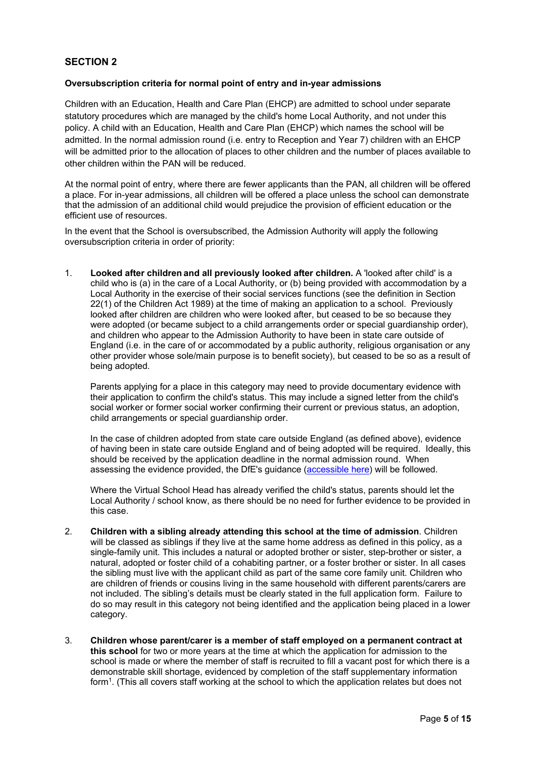### **SECTION 2**

#### **Oversubscription criteria for normal point of entry and in-year admissions**

Children with an Education, Health and Care Plan (EHCP) are admitted to school under separate statutory procedures which are managed by the child's home Local Authority, and not under this policy. A child with an Education, Health and Care Plan (EHCP) which names the school will be admitted. In the normal admission round (i.e. entry to Reception and Year 7) children with an EHCP will be admitted prior to the allocation of places to other children and the number of places available to other children within the PAN will be reduced.

At the normal point of entry, where there are fewer applicants than the PAN, all children will be offered a place. For in-year admissions, all children will be offered a place unless the school can demonstrate that the admission of an additional child would prejudice the provision of efficient education or the efficient use of resources.

In the event that the School is oversubscribed, the Admission Authority will apply the following oversubscription criteria in order of priority:

1. **Looked after children and all previously looked after children.** A 'looked after child' is a child who is (a) in the care of a Local Authority, or (b) being provided with accommodation by a Local Authority in the exercise of their social services functions (see the definition in Section 22(1) of the Children Act 1989) at the time of making an application to a school. Previously looked after children are children who were looked after, but ceased to be so because they were adopted (or became subject to a child arrangements order or special guardianship order), and children who appear to the Admission Authority to have been in state care outside of England (i.e. in the care of or accommodated by a public authority, religious organisation or any other provider whose sole/main purpose is to benefit society), but ceased to be so as a result of being adopted.

Parents applying for a place in this category may need to provide documentary evidence with their application to confirm the child's status. This may include a signed letter from the child's social worker or former social worker confirming their current or previous status, an adoption, child arrangements or special guardianship order.

In the case of children adopted from state care outside England (as defined above), evidence of having been in state care outside England and of being adopted will be required. Ideally, this should be received by the application deadline in the normal admission round. When assessing the evidence provided, the DfE's guidance [\(accessible here\)](about:blank) will be followed.

Where the Virtual School Head has already verified the child's status, parents should let the Local Authority / school know, as there should be no need for further evidence to be provided in this case.

- 2. **Children with a sibling already attending this school at the time of admission**. Children will be classed as siblings if they live at the same home address as defined in this policy, as a single-family unit. This includes a natural or adopted brother or sister, step-brother or sister, a natural, adopted or foster child of a cohabiting partner, or a foster brother or sister. In all cases the sibling must live with the applicant child as part of the same core family unit. Children who are children of friends or cousins living in the same household with different parents/carers are not included. The sibling's details must be clearly stated in the full application form. Failure to do so may result in this category not being identified and the application being placed in a lower category.
- 3. **Children whose parent/carer is a member of staff employed on a permanent contract at this school** for two or more years at the time at which the application for admission to the school is made or where the member of staff is recruited to fill a vacant post for which there is a demonstrable skill shortage, evidenced by completion of the staff supplementary information form1. (This all covers staff working at the school to which the application relates but does not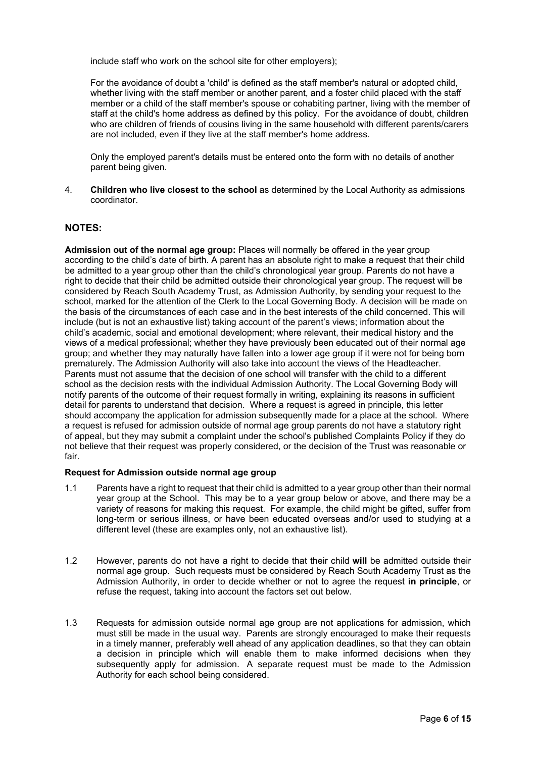include staff who work on the school site for other employers);

For the avoidance of doubt a 'child' is defined as the staff member's natural or adopted child, whether living with the staff member or another parent, and a foster child placed with the staff member or a child of the staff member's spouse or cohabiting partner, living with the member of staff at the child's home address as defined by this policy. For the avoidance of doubt, children who are children of friends of cousins living in the same household with different parents/carers are not included, even if they live at the staff member's home address.

Only the employed parent's details must be entered onto the form with no details of another parent being given.

4. **Children who live closest to the school** as determined by the Local Authority as admissions coordinator.

### **NOTES:**

**Admission out of the normal age group:** Places will normally be offered in the year group according to the child's date of birth. A parent has an absolute right to make a request that their child be admitted to a year group other than the child's chronological year group. Parents do not have a right to decide that their child be admitted outside their chronological year group. The request will be considered by Reach South Academy Trust, as Admission Authority, by sending your request to the school, marked for the attention of the Clerk to the Local Governing Body. A decision will be made on the basis of the circumstances of each case and in the best interests of the child concerned. This will include (but is not an exhaustive list) taking account of the parent's views; information about the child's academic, social and emotional development; where relevant, their medical history and the views of a medical professional; whether they have previously been educated out of their normal age group; and whether they may naturally have fallen into a lower age group if it were not for being born prematurely. The Admission Authority will also take into account the views of the Headteacher. Parents must not assume that the decision of one school will transfer with the child to a different school as the decision rests with the individual Admission Authority. The Local Governing Body will notify parents of the outcome of their request formally in writing, explaining its reasons in sufficient detail for parents to understand that decision. Where a request is agreed in principle, this letter should accompany the application for admission subsequently made for a place at the school. Where a request is refused for admission outside of normal age group parents do not have a statutory right of appeal, but they may submit a complaint under the school's published Complaints Policy if they do not believe that their request was properly considered, or the decision of the Trust was reasonable or fair.

#### **Request for Admission outside normal age group**

- 1.1 Parents have a right to request that their child is admitted to a year group other than their normal year group at the School. This may be to a year group below or above, and there may be a variety of reasons for making this request. For example, the child might be gifted, suffer from long-term or serious illness, or have been educated overseas and/or used to studying at a different level (these are examples only, not an exhaustive list).
- 1.2 However, parents do not have a right to decide that their child **will** be admitted outside their normal age group. Such requests must be considered by Reach South Academy Trust as the Admission Authority, in order to decide whether or not to agree the request **in principle**, or refuse the request, taking into account the factors set out below.
- 1.3 Requests for admission outside normal age group are not applications for admission, which must still be made in the usual way. Parents are strongly encouraged to make their requests in a timely manner, preferably well ahead of any application deadlines, so that they can obtain a decision in principle which will enable them to make informed decisions when they subsequently apply for admission. A separate request must be made to the Admission Authority for each school being considered.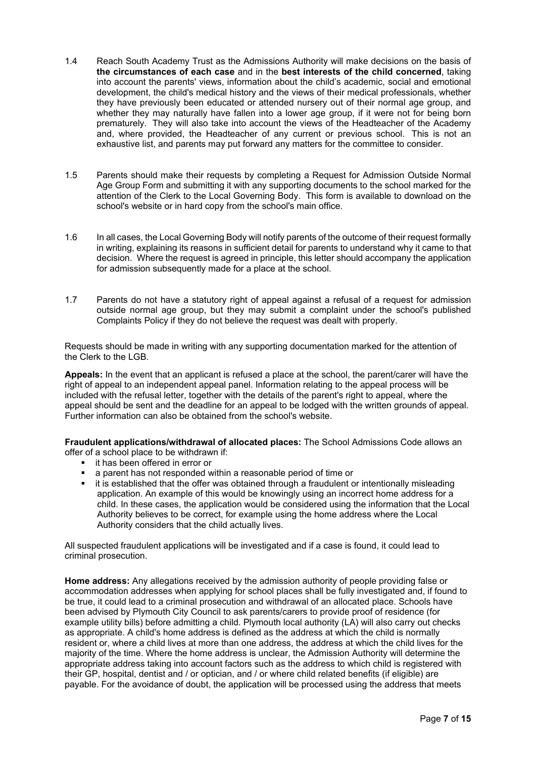- 1.4 Reach South Academy Trust as the Admissions Authority will make decisions on the basis of **the circumstances of each case** and in the **best interests of the child concerned**, taking into account the parents' views, information about the child's academic, social and emotional development, the child's medical history and the views of their medical professionals, whether they have previously been educated or attended nursery out of their normal age group, and whether they may naturally have fallen into a lower age group, if it were not for being born prematurely. They will also take into account the views of the Headteacher of the Academy and, where provided, the Headteacher of any current or previous school. This is not an exhaustive list, and parents may put forward any matters for the committee to consider.
- 1.5 Parents should make their requests by completing a Request for Admission Outside Normal Age Group Form and submitting it with any supporting documents to the school marked for the attention of the Clerk to the Local Governing Body. This form is available to download on the school's website or in hard copy from the school's main office.
- 1.6 In all cases, the Local Governing Body will notify parents of the outcome of their request formally in writing, explaining its reasons in sufficient detail for parents to understand why it came to that decision. Where the request is agreed in principle, this letter should accompany the application for admission subsequently made for a place at the school.
- 1.7 Parents do not have a statutory right of appeal against a refusal of a request for admission outside normal age group, but they may submit a complaint under the school's published Complaints Policy if they do not believe the request was dealt with properly.

Requests should be made in writing with any supporting documentation marked for the attention of the Clerk to the LGB.

**Appeals:** In the event that an applicant is refused a place at the school, the parent/carer will have the right of appeal to an independent appeal panel. Information relating to the appeal process will be included with the refusal letter, together with the details of the parent's right to appeal, where the appeal should be sent and the deadline for an appeal to be lodged with the written grounds of appeal. Further information can also be obtained from the school's website.

**Fraudulent applications/withdrawal of allocated places:** The School Admissions Code allows an offer of a school place to be withdrawn if:

- it has been offered in error or
- a parent has not responded within a reasonable period of time or
- it is established that the offer was obtained through a fraudulent or intentionally misleading application. An example of this would be knowingly using an incorrect home address for a child. In these cases, the application would be considered using the information that the Local Authority believes to be correct, for example using the home address where the Local Authority considers that the child actually lives.

All suspected fraudulent applications will be investigated and if a case is found, it could lead to criminal prosecution.

**Home address:** Any allegations received by the admission authority of people providing false or accommodation addresses when applying for school places shall be fully investigated and, if found to be true, it could lead to a criminal prosecution and withdrawal of an allocated place. Schools have been advised by Plymouth City Council to ask parents/carers to provide proof of residence (for example utility bills) before admitting a child. Plymouth local authority (LA) will also carry out checks as appropriate. A child's home address is defined as the address at which the child is normally resident or, where a child lives at more than one address, the address at which the child lives for the majority of the time. Where the home address is unclear, the Admission Authority will determine the appropriate address taking into account factors such as the address to which child is registered with their GP, hospital, dentist and / or optician, and / or where child related benefits (if eligible) are payable. For the avoidance of doubt, the application will be processed using the address that meets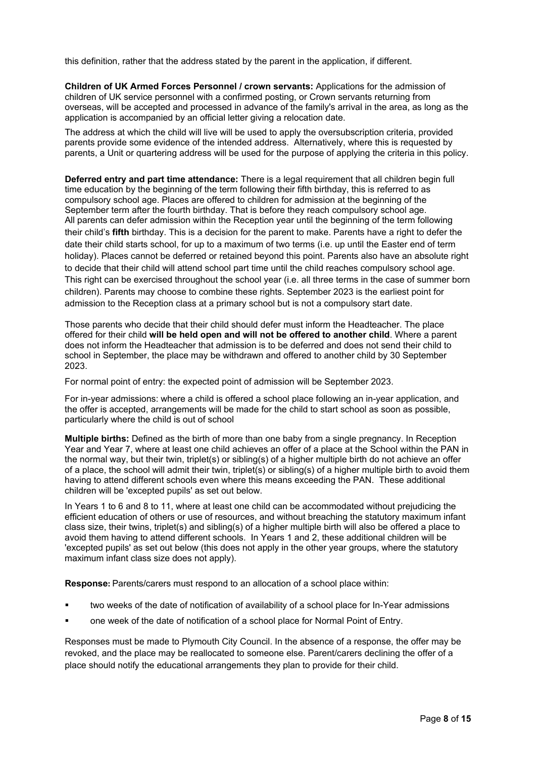this definition, rather that the address stated by the parent in the application, if different.

**Children of UK Armed Forces Personnel / crown servants:** Applications for the admission of children of UK service personnel with a confirmed posting, or Crown servants returning from overseas, will be accepted and processed in advance of the family's arrival in the area, as long as the application is accompanied by an official letter giving a relocation date.

The address at which the child will live will be used to apply the oversubscription criteria, provided parents provide some evidence of the intended address. Alternatively, where this is requested by parents, a Unit or quartering address will be used for the purpose of applying the criteria in this policy.

**Deferred entry and part time attendance:** There is a legal requirement that all children begin full time education by the beginning of the term following their fifth birthday, this is referred to as compulsory school age. Places are offered to children for admission at the beginning of the September term after the fourth birthday. That is before they reach compulsory school age. All parents can defer admission within the Reception year until the beginning of the term following their child's **fifth** birthday. This is a decision for the parent to make. Parents have a right to defer the date their child starts school, for up to a maximum of two terms (i.e. up until the Easter end of term holiday). Places cannot be deferred or retained beyond this point. Parents also have an absolute right to decide that their child will attend school part time until the child reaches compulsory school age. This right can be exercised throughout the school year (i.e. all three terms in the case of summer born children). Parents may choose to combine these rights. September 2023 is the earliest point for admission to the Reception class at a primary school but is not a compulsory start date.

Those parents who decide that their child should defer must inform the Headteacher. The place offered for their child **will be held open and will not be offered to another child**. Where a parent does not inform the Headteacher that admission is to be deferred and does not send their child to school in September, the place may be withdrawn and offered to another child by 30 September 2023.

For normal point of entry: the expected point of admission will be September 2023.

For in-year admissions: where a child is offered a school place following an in-year application, and the offer is accepted, arrangements will be made for the child to start school as soon as possible, particularly where the child is out of school

**Multiple births:** Defined as the birth of more than one baby from a single pregnancy. In Reception Year and Year 7, where at least one child achieves an offer of a place at the School within the PAN in the normal way, but their twin, triplet(s) or sibling(s) of a higher multiple birth do not achieve an offer of a place, the school will admit their twin, triplet(s) or sibling(s) of a higher multiple birth to avoid them having to attend different schools even where this means exceeding the PAN. These additional children will be 'excepted pupils' as set out below.

In Years 1 to 6 and 8 to 11, where at least one child can be accommodated without prejudicing the efficient education of others or use of resources, and without breaching the statutory maximum infant class size, their twins, triplet(s) and sibling(s) of a higher multiple birth will also be offered a place to avoid them having to attend different schools. In Years 1 and 2, these additional children will be 'excepted pupils' as set out below (this does not apply in the other year groups, where the statutory maximum infant class size does not apply).

**Response:** Parents/carers must respond to an allocation of a school place within:

- two weeks of the date of notification of availability of a school place for In-Year admissions
- one week of the date of notification of a school place for Normal Point of Entry.

Responses must be made to Plymouth City Council. In the absence of a response, the offer may be revoked, and the place may be reallocated to someone else. Parent/carers declining the offer of a place should notify the educational arrangements they plan to provide for their child.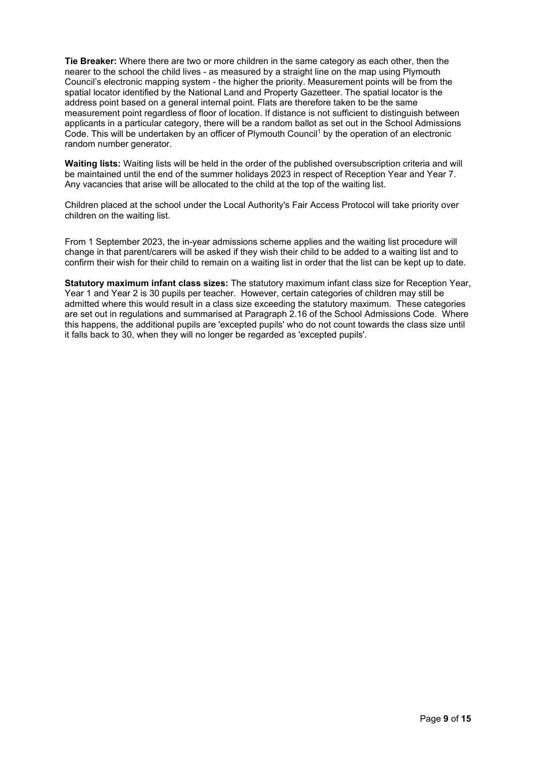**Tie Breaker:** Where there are two or more children in the same category as each other, then the nearer to the school the child lives - as measured by a straight line on the map using Plymouth Council's electronic mapping system - the higher the priority. Measurement points will be from the spatial locator identified by the National Land and Property Gazetteer. The spatial locator is the address point based on a general internal point. Flats are therefore taken to be the same measurement point regardless of floor of location. If distance is not sufficient to distinguish between applicants in a particular category, there will be a random ballot as set out in the School Admissions Code. This will be undertaken by an officer of Plymouth Council<sup>1</sup> by the operation of an electronic random number generator.

**Waiting lists:** Waiting lists will be held in the order of the published oversubscription criteria and will be maintained until the end of the summer holidays 2023 in respect of Reception Year and Year 7. Any vacancies that arise will be allocated to the child at the top of the waiting list.

Children placed at the school under the Local Authority's Fair Access Protocol will take priority over children on the waiting list.

From 1 September 2023, the in-year admissions scheme applies and the waiting list procedure will change in that parent/carers will be asked if they wish their child to be added to a waiting list and to confirm their wish for their child to remain on a waiting list in order that the list can be kept up to date.

**Statutory maximum infant class sizes:** The statutory maximum infant class size for Reception Year, Year 1 and Year 2 is 30 pupils per teacher. However, certain categories of children may still be admitted where this would result in a class size exceeding the statutory maximum. These categories are set out in regulations and summarised at Paragraph 2.16 of the School Admissions Code. Where this happens, the additional pupils are 'excepted pupils' who do not count towards the class size until it falls back to 30, when they will no longer be regarded as 'excepted pupils'.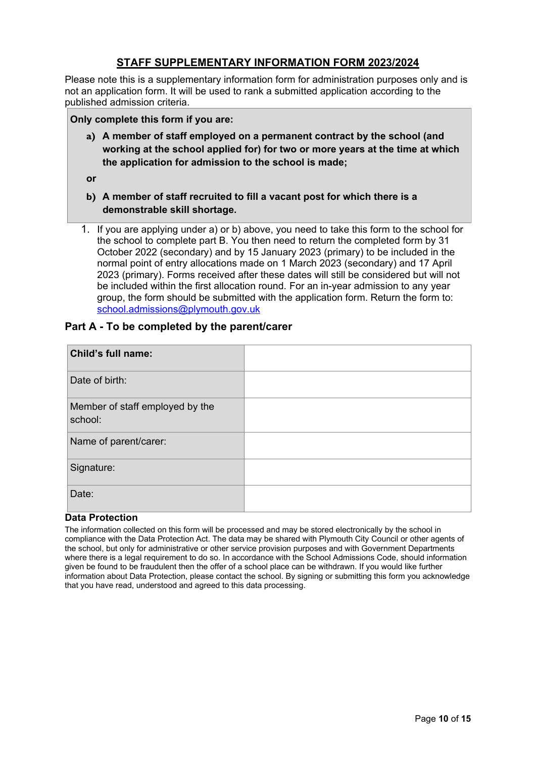### **STAFF SUPPLEMENTARY INFORMATION FORM 2023/2024**

Please note this is a supplementary information form for administration purposes only and is not an application form. It will be used to rank a submitted application according to the published admission criteria.

### **Only complete this form if you are:**

**a) A member of staff employed on a permanent contract by the school (and working at the school applied for) for two or more years at the time at which the application for admission to the school is made;**

**or**

- **b) A member of staff recruited to fill a vacant post for which there is a demonstrable skill shortage.**
- 1. If you are applying under a) or b) above, you need to take this form to the school for the school to complete part B. You then need to return the completed form by 31 October 2022 (secondary) and by 15 January 2023 (primary) to be included in the normal point of entry allocations made on 1 March 2023 (secondary) and 17 April 2023 (primary). Forms received after these dates will still be considered but will not be included within the first allocation round. For an in-year admission to any year group, the form should be submitted with the application form. Return the form to: [school.admissions@plymouth.gov.uk](mailto:school.admissions@plymouth.gov.uk)

### **Part A - To be completed by the parent/carer**

| <b>Child's full name:</b>                  |  |
|--------------------------------------------|--|
| Date of birth:                             |  |
| Member of staff employed by the<br>school: |  |
| Name of parent/carer:                      |  |
| Signature:                                 |  |
| Date:                                      |  |

### **Data Protection**

The information collected on this form will be processed and may be stored electronically by the school in compliance with the Data Protection Act. The data may be shared with Plymouth City Council or other agents of the school, but only for administrative or other service provision purposes and with Government Departments where there is a legal requirement to do so. In accordance with the School Admissions Code, should information given be found to be fraudulent then the offer of a school place can be withdrawn. If you would like further information about Data Protection, please contact the school. By signing or submitting this form you acknowledge that you have read, understood and agreed to this data processing.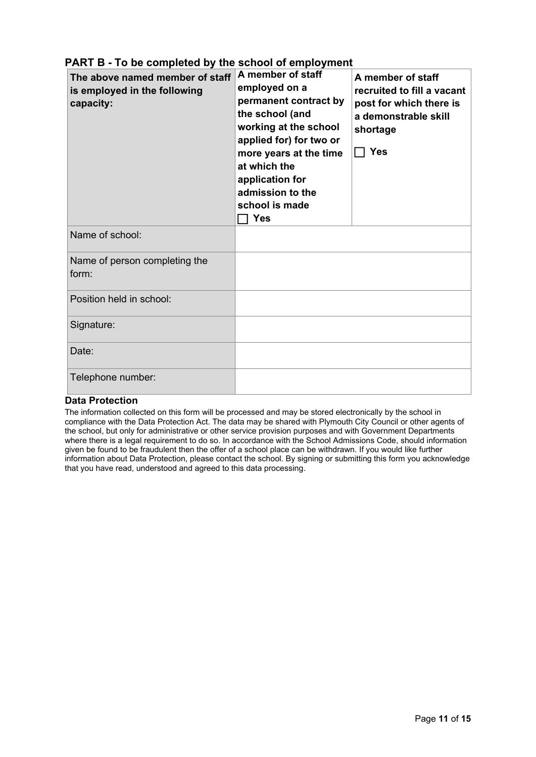| The above named member of staff<br>is employed in the following<br>capacity: | A member of staff<br>employed on a<br>permanent contract by<br>the school (and<br>working at the school<br>applied for) for two or<br>more years at the time<br>at which the<br>application for<br>admission to the<br>school is made<br><b>Yes</b> | A member of staff<br>recruited to fill a vacant<br>post for which there is<br>a demonstrable skill<br>shortage<br>$\Box$ Yes |
|------------------------------------------------------------------------------|-----------------------------------------------------------------------------------------------------------------------------------------------------------------------------------------------------------------------------------------------------|------------------------------------------------------------------------------------------------------------------------------|
| Name of school:                                                              |                                                                                                                                                                                                                                                     |                                                                                                                              |
| Name of person completing the<br>form:                                       |                                                                                                                                                                                                                                                     |                                                                                                                              |
| Position held in school:                                                     |                                                                                                                                                                                                                                                     |                                                                                                                              |
| Signature:                                                                   |                                                                                                                                                                                                                                                     |                                                                                                                              |
| Date:                                                                        |                                                                                                                                                                                                                                                     |                                                                                                                              |
| Telephone number:                                                            |                                                                                                                                                                                                                                                     |                                                                                                                              |

## **PART B - To be completed by the school of employment**

### **Data Protection**

The information collected on this form will be processed and may be stored electronically by the school in compliance with the Data Protection Act. The data may be shared with Plymouth City Council or other agents of the school, but only for administrative or other service provision purposes and with Government Departments where there is a legal requirement to do so. In accordance with the School Admissions Code, should information given be found to be fraudulent then the offer of a school place can be withdrawn. If you would like further information about Data Protection, please contact the school. By signing or submitting this form you acknowledge that you have read, understood and agreed to this data processing.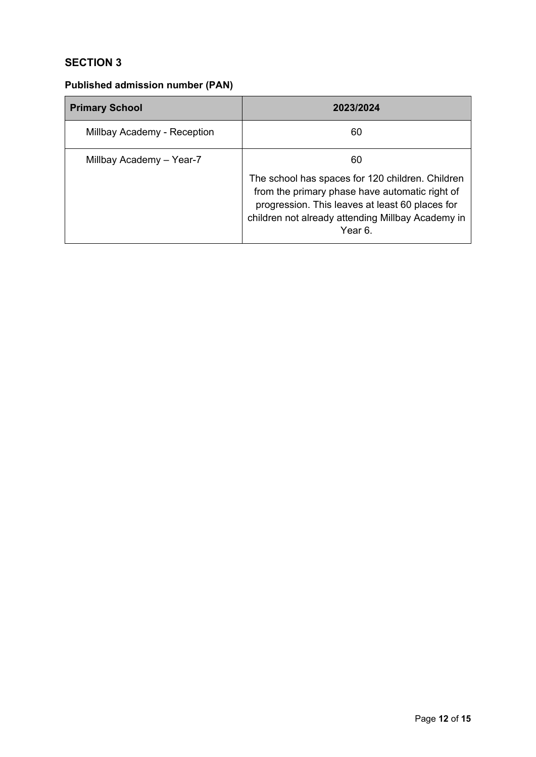## **SECTION 3**

## **Published admission number (PAN)**

| <b>Primary School</b>       | 2023/2024                                                                                                                                                                                                        |  |
|-----------------------------|------------------------------------------------------------------------------------------------------------------------------------------------------------------------------------------------------------------|--|
| Millbay Academy - Reception | 60                                                                                                                                                                                                               |  |
| Millbay Academy - Year-7    | 60<br>The school has spaces for 120 children. Children<br>from the primary phase have automatic right of<br>progression. This leaves at least 60 places for<br>children not already attending Millbay Academy in |  |
|                             | Year 6.                                                                                                                                                                                                          |  |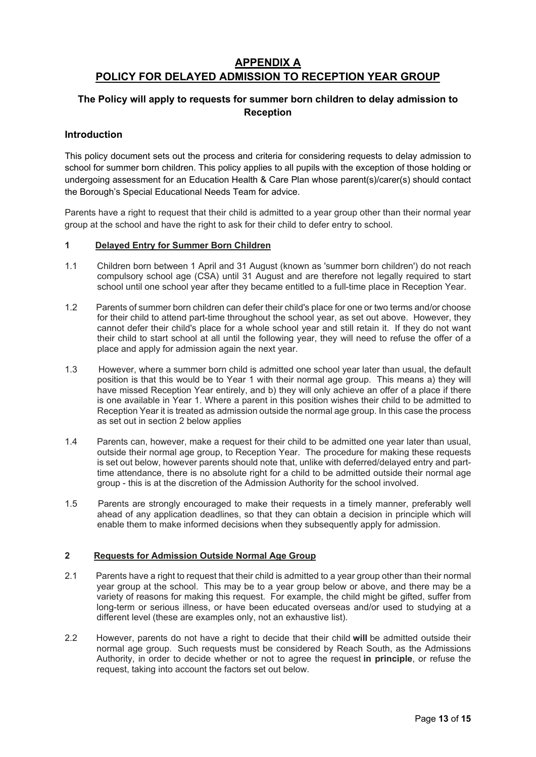## **APPENDIX A POLICY FOR DELAYED ADMISSION TO RECEPTION YEAR GROUP**

### **The Policy will apply to requests for summer born children to delay admission to Reception**

### **Introduction**

This policy document sets out the process and criteria for considering requests to delay admission to school for summer born children. This policy applies to all pupils with the exception of those holding or undergoing assessment for an Education Health & Care Plan whose parent(s)/carer(s) should contact the Borough's Special Educational Needs Team for advice.

Parents have a right to request that their child is admitted to a year group other than their normal year group at the school and have the right to ask for their child to defer entry to school.

#### **1 Delayed Entry for Summer Born Children**

- 1.1 Children born between 1 April and 31 August (known as 'summer born children') do not reach compulsory school age (CSA) until 31 August and are therefore not legally required to start school until one school year after they became entitled to a full-time place in Reception Year.
- 1.2 Parents of summer born children can defer their child's place for one or two terms and/or choose for their child to attend part-time throughout the school year, as set out above. However, they cannot defer their child's place for a whole school year and still retain it. If they do not want their child to start school at all until the following year, they will need to refuse the offer of a place and apply for admission again the next year.
- 1.3 However, where a summer born child is admitted one school year later than usual, the default position is that this would be to Year 1 with their normal age group. This means a) they will have missed Reception Year entirely, and b) they will only achieve an offer of a place if there is one available in Year 1. Where a parent in this position wishes their child to be admitted to Reception Year it is treated as admission outside the normal age group. In this case the process as set out in section 2 below applies
- 1.4 Parents can, however, make a request for their child to be admitted one year later than usual, outside their normal age group, to Reception Year. The procedure for making these requests is set out below, however parents should note that, unlike with deferred/delayed entry and parttime attendance, there is no absolute right for a child to be admitted outside their normal age group - this is at the discretion of the Admission Authority for the school involved.
- 1.5 Parents are strongly encouraged to make their requests in a timely manner, preferably well ahead of any application deadlines, so that they can obtain a decision in principle which will enable them to make informed decisions when they subsequently apply for admission.

### **2 Requests for Admission Outside Normal Age Group**

- 2.1 Parents have a right to request that their child is admitted to a year group other than their normal year group at the school. This may be to a year group below or above, and there may be a variety of reasons for making this request. For example, the child might be gifted, suffer from long-term or serious illness, or have been educated overseas and/or used to studying at a different level (these are examples only, not an exhaustive list).
- 2.2 However, parents do not have a right to decide that their child **will** be admitted outside their normal age group. Such requests must be considered by Reach South, as the Admissions Authority, in order to decide whether or not to agree the request **in principle**, or refuse the request, taking into account the factors set out below.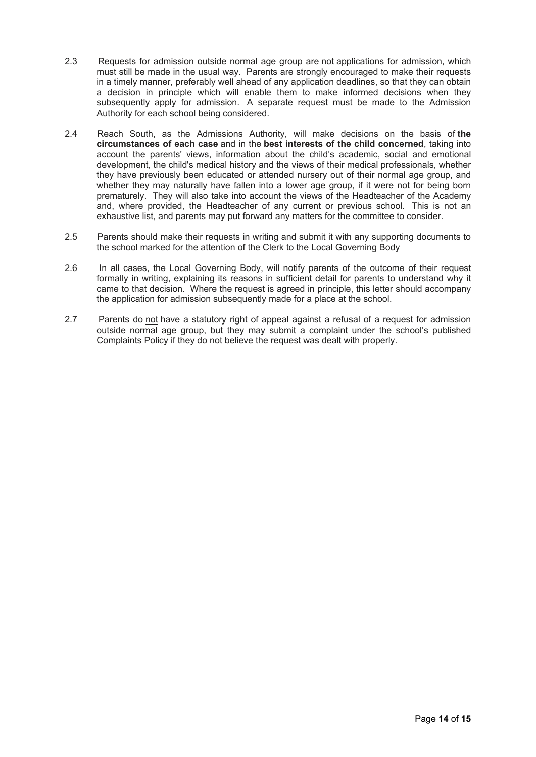- 2.3 Requests for admission outside normal age group are not applications for admission, which must still be made in the usual way. Parents are strongly encouraged to make their requests in a timely manner, preferably well ahead of any application deadlines, so that they can obtain a decision in principle which will enable them to make informed decisions when they subsequently apply for admission. A separate request must be made to the Admission Authority for each school being considered.
- 2.4 Reach South, as the Admissions Authority, will make decisions on the basis of **the circumstances of each case** and in the **best interests of the child concerned**, taking into account the parents' views, information about the child's academic, social and emotional development, the child's medical history and the views of their medical professionals, whether they have previously been educated or attended nursery out of their normal age group, and whether they may naturally have fallen into a lower age group, if it were not for being born prematurely. They will also take into account the views of the Headteacher of the Academy and, where provided, the Headteacher of any current or previous school. This is not an exhaustive list, and parents may put forward any matters for the committee to consider.
- 2.5 Parents should make their requests in writing and submit it with any supporting documents to the school marked for the attention of the Clerk to the Local Governing Body
- 2.6 In all cases, the Local Governing Body, will notify parents of the outcome of their request formally in writing, explaining its reasons in sufficient detail for parents to understand why it came to that decision. Where the request is agreed in principle, this letter should accompany the application for admission subsequently made for a place at the school.
- 2.7 Parents do not have a statutory right of appeal against a refusal of a request for admission outside normal age group, but they may submit a complaint under the school's published Complaints Policy if they do not believe the request was dealt with properly.